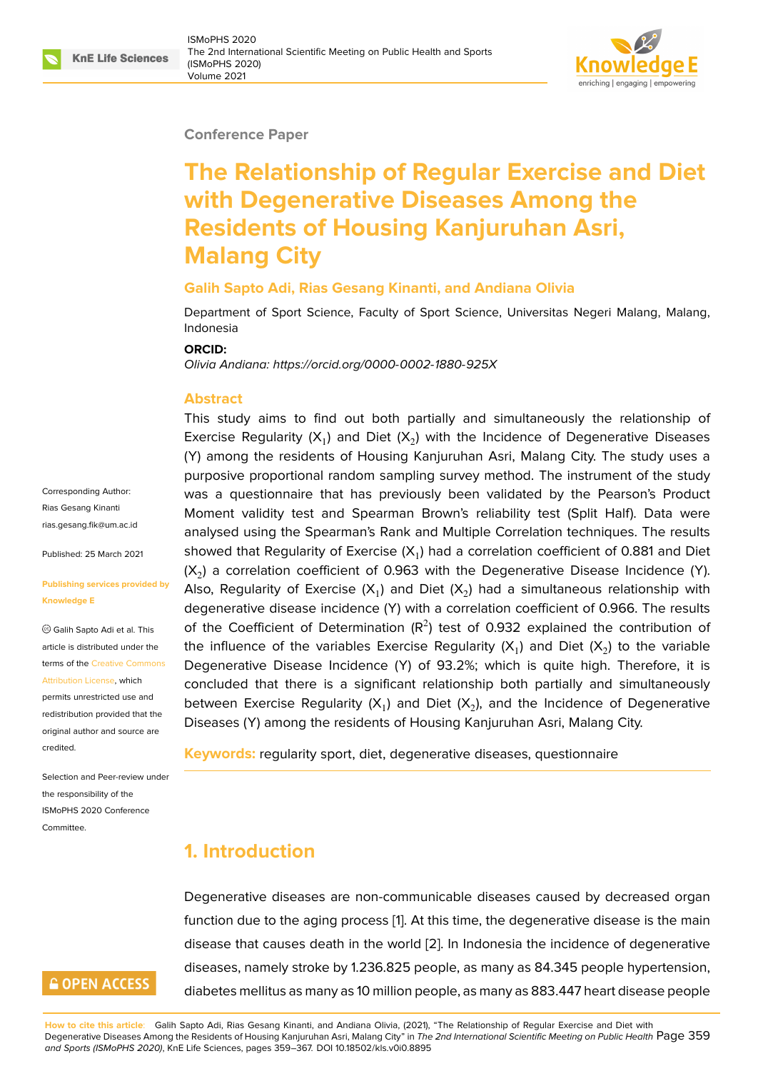#### **Conference Paper**

# **The Relationship of Regular Exercise and Diet with Degenerative Diseases Among the Residents of Housing Kanjuruhan Asri, Malang City**

#### **Galih Sapto Adi, Rias Gesang Kinanti, and Andiana Olivia**

Department of Sport Science, Faculty of Sport Science, Universitas Negeri Malang, Malang, Indonesia

#### **ORCID:**

*Olivia Andiana: https://orcid.org/0000-0002-1880-925X*

#### **Abstract**

This study ai[ms to find out both partially and s](https://orcid.org/0000-0002-1880-925X )imultaneously the relationship of Exercise Regularity (X<sub>1</sub>) and Diet (X<sub>2</sub>) with the Incidence of Degenerative Diseases (Y) among the residents of Housing Kanjuruhan Asri, Malang City. The study uses a purposive proportional random sampling survey method. The instrument of the study was a questionnaire that has previously been validated by the Pearson's Product Moment validity test and Spearman Brown's reliability test (Split Half). Data were analysed using the Spearman's Rank and Multiple Correlation techniques. The results showed that Regularity of Exercise (X<sub>1</sub>) had a correlation coefficient of 0.881 and Diet (X<sub>2</sub>) a correlation coefficient of 0.963 with the Degenerative Disease Incidence (Y). Also, Regularity of Exercise (X<sub>1</sub>) and Diet (X<sub>2</sub>) had a simultaneous relationship with degenerative disease incidence (Y) with a correlation coefficient of 0.966. The results of the Coefficient of Determination  $(R^2)$  test of 0.932 explained the contribution of the influence of the variables Exercise Regularity (X<sub>1</sub>) and Diet (X<sub>2</sub>) to the variable Degenerative Disease Incidence (Y) of 93.2%; which is quite high. Therefore, it is concluded that there is a significant relationship both partially and simultaneously between Exercise Regularity (X<sub>1</sub>) and Diet (X<sub>2</sub>), and the Incidence of Degenerative Diseases (Y) among the residents of Housing Kanjuruhan Asri, Malang City.

**Keywords:** regularity sport, diet, degenerative diseases, questionnaire

# **1. Introduction**

Degenerative diseases are non-communicable diseases caused by decreased organ function due to the aging process [1]. At this time, the degenerative disease is the main disease that causes death in the world [2]. In Indonesia the incidence of degenerative diseases, namely stroke by 1.236.825 people, as many as 84.345 people hypertension, diabetes mellitus as many as 10 mill[io](#page-7-0)n people, as many as 883.447 heart disease people

Corresponding Author: Rias Gesang Kinanti rias.gesang.fik@um.ac.id

Published: 25 March 2021

#### **[Publishing services prov](mailto:rias.gesang.fik@um.ac.id)ided by Knowledge E**

Galih Sapto Adi et al. This article is distributed under the terms of the Creative Commons Attribution License, which

permits unrestricted use and redistribution provided that the original auth[or and source are](https://creativecommons.org/licenses/by/4.0/) [credited.](https://creativecommons.org/licenses/by/4.0/)

Selection and Peer-review under the responsibility of the ISMoPHS 2020 Conference Committee.



**How to cite this article**: Galih Sapto Adi, Rias Gesang Kinanti, and Andiana Olivia, (2021), "The Relationship of Regular Exercise and Diet with Degenerative Diseases Among the Residents of Housing Kanjuruhan Asri, Malang City" in *The 2nd International Scientific Meeting on Public Health* Page 359 *and Sports (ISMoPHS 2020)*, KnE Life Sciences, pages 359–367. DOI 10.18502/kls.v0i0.8895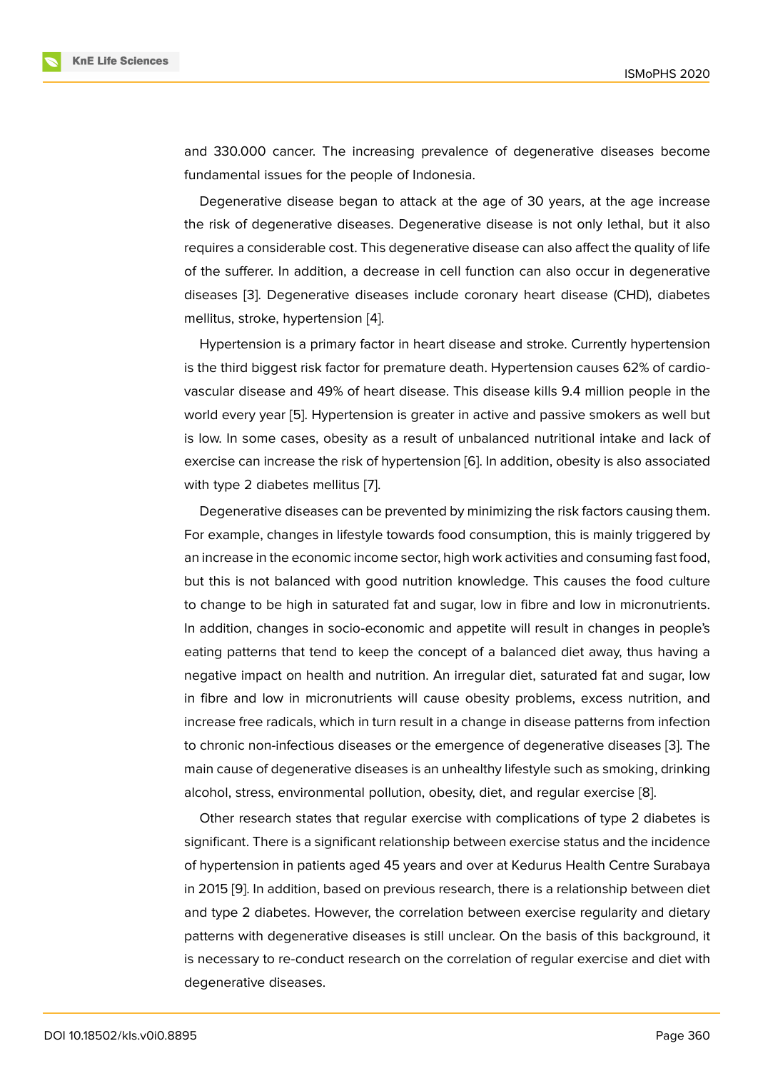and 330.000 cancer. The increasing prevalence of degenerative diseases become fundamental issues for the people of Indonesia.

Degenerative disease began to attack at the age of 30 years, at the age increase the risk of degenerative diseases. Degenerative disease is not only lethal, but it also requires a considerable cost. This degenerative disease can also affect the quality of life of the sufferer. In addition, a decrease in cell function can also occur in degenerative diseases [3]. Degenerative diseases include coronary heart disease (CHD), diabetes mellitus, stroke, hypertension [4].

Hypertension is a primary factor in heart disease and stroke. Currently hypertension is the thir[d b](#page-7-1)iggest risk factor for premature death. Hypertension causes 62% of cardiovascular disease and 49% of [he](#page-7-2)art disease. This disease kills 9.4 million people in the world every year [5]. Hypertension is greater in active and passive smokers as well but is low. In some cases, obesity as a result of unbalanced nutritional intake and lack of exercise can increase the risk of hypertension [6]. In addition, obesity is also associated with type 2 diabe[te](#page-8-0)s mellitus [7].

Degenerative diseases can be prevented by minimizing the risk factors causing them. For example, changes in lifestyle towards food [c](#page-8-1)onsumption, this is mainly triggered by an increase in the economic in[co](#page-8-2)me sector, high work activities and consuming fast food, but this is not balanced with good nutrition knowledge. This causes the food culture to change to be high in saturated fat and sugar, low in fibre and low in micronutrients. In addition, changes in socio-economic and appetite will result in changes in people's eating patterns that tend to keep the concept of a balanced diet away, thus having a negative impact on health and nutrition. An irregular diet, saturated fat and sugar, low in fibre and low in micronutrients will cause obesity problems, excess nutrition, and increase free radicals, which in turn result in a change in disease patterns from infection to chronic non-infectious diseases or the emergence of degenerative diseases [3]. The main cause of degenerative diseases is an unhealthy lifestyle such as smoking, drinking alcohol, stress, environmental pollution, obesity, diet, and regular exercise [8].

Other research states that regular exercise with complications of type 2 dia[be](#page-7-1)tes is significant. There is a significant relationship between exercise status and the incidence of hypertension in patients aged 45 years and over at Kedurus Health Centr[e](#page-8-3) Surabaya in 2015 [9]. In addition, based on previous research, there is a relationship between diet and type 2 diabetes. However, the correlation between exercise regularity and dietary patterns with degenerative diseases is still unclear. On the basis of this background, it is neces[sa](#page-8-4)ry to re-conduct research on the correlation of regular exercise and diet with degenerative diseases.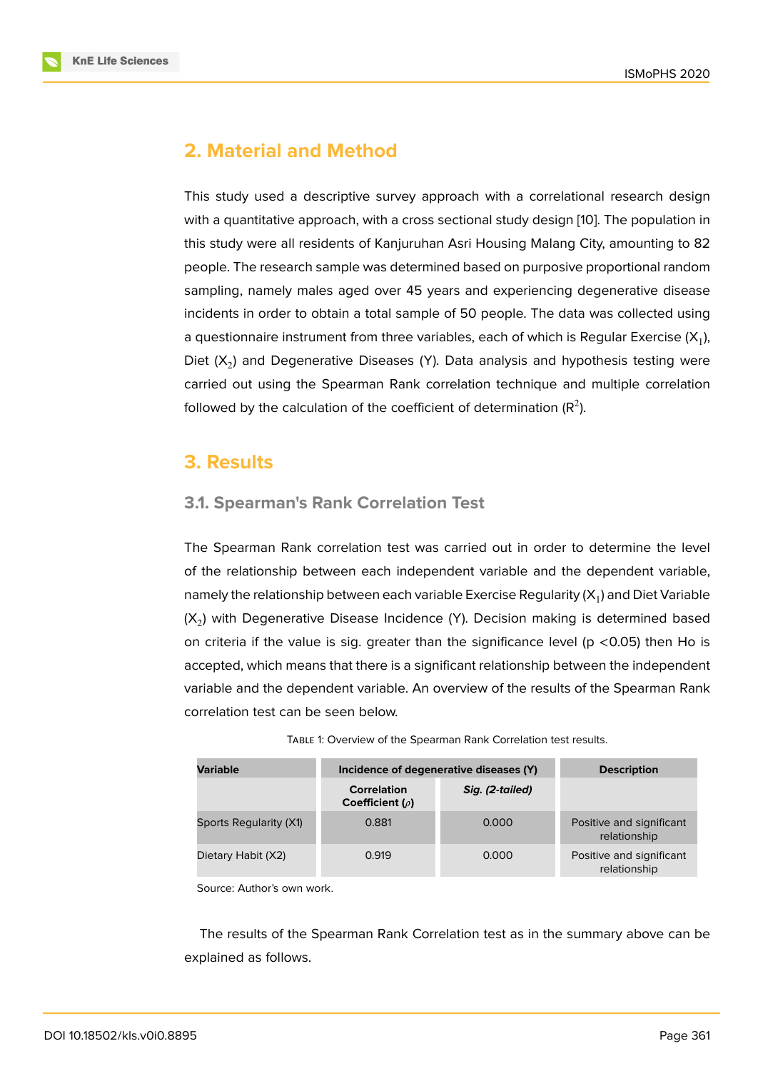# **2. Material and Method**

This study used a descriptive survey approach with a correlational research design with a quantitative approach, with a cross sectional study design [10]. The population in this study were all residents of Kanjuruhan Asri Housing Malang City, amounting to 82 people. The research sample was determined based on purposive proportional random sampling, namely males aged over 45 years and experiencing [deg](#page-8-5)enerative disease incidents in order to obtain a total sample of 50 people. The data was collected using a questionnaire instrument from three variables, each of which is Regular Exercise (X<sub>1</sub>), Diet ( $\mathsf{X}_2$ ) and Degenerative Diseases (Y). Data analysis and hypothesis testing were carried out using the Spearman Rank correlation technique and multiple correlation followed by the calculation of the coefficient of determination (R<sup>2</sup>).

# **3. Results**

### **3.1. Spearman's Rank Correlation Test**

The Spearman Rank correlation test was carried out in order to determine the level of the relationship between each independent variable and the dependent variable, namely the relationship between each variable Exercise Regularity (X<sub>1</sub>) and Diet Variable (X<sub>2</sub>) with Degenerative Disease Incidence (Y). Decision making is determined based on criteria if the value is sig. greater than the significance level ( $p \lt 0.05$ ) then Ho is accepted, which means that there is a significant relationship between the independent variable and the dependent variable. An overview of the results of the Spearman Rank correlation test can be seen below.

| <b>Variable</b>        | Incidence of degenerative diseases (Y)     | <b>Description</b> |                                          |
|------------------------|--------------------------------------------|--------------------|------------------------------------------|
|                        | <b>Correlation</b><br>Coefficient $(\rho)$ | Sig. (2-tailed)    |                                          |
| Sports Regularity (X1) | 0.881                                      | 0.000              | Positive and significant<br>relationship |
| Dietary Habit (X2)     | 0.919                                      | 0.000              | Positive and significant<br>relationship |

TABLE 1: Overview of the Spearman Rank Correlation test results.

Source: Author's own work.

The results of the Spearman Rank Correlation test as in the summary above can be explained as follows.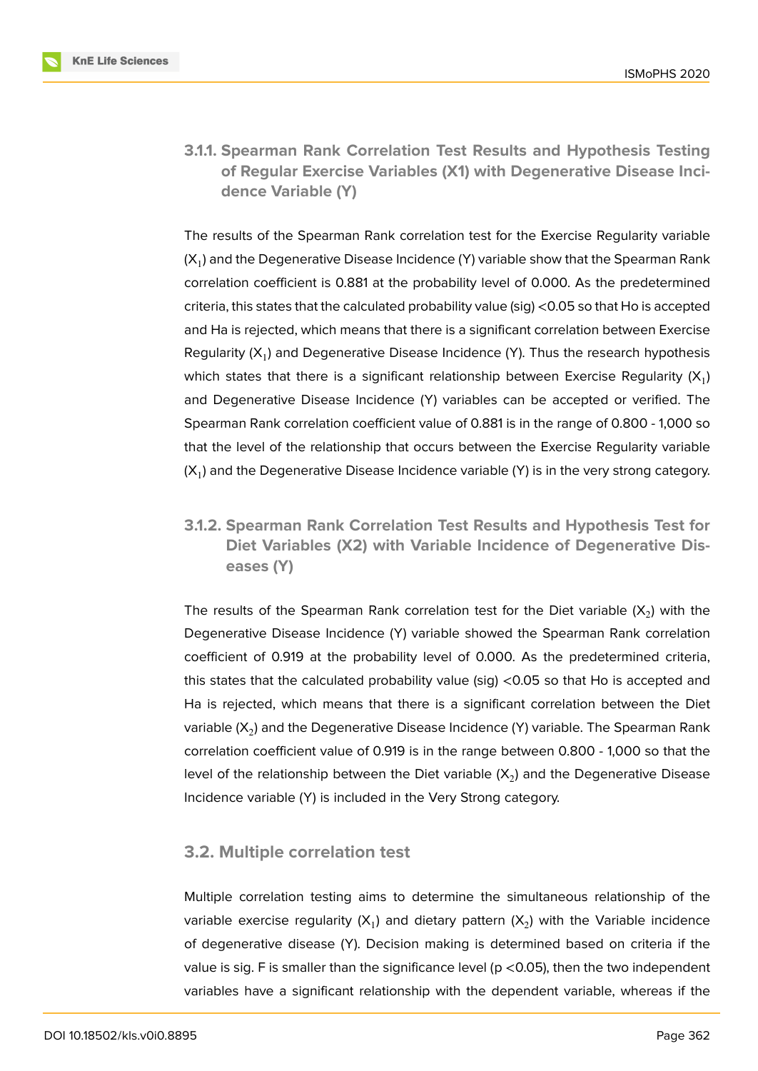

**3.1.1. Spearman Rank Correlation Test Results and Hypothesis Testing of Regular Exercise Variables (X1) with Degenerative Disease Incidence Variable (Y)**

The results of the Spearman Rank correlation test for the Exercise Regularity variable (X<sub>1</sub>) and the Degenerative Disease Incidence (Y) variable show that the Spearman Rank correlation coefficient is 0.881 at the probability level of 0.000. As the predetermined criteria, this states that the calculated probability value (sig) <0.05 so that Ho is accepted and Ha is rejected, which means that there is a significant correlation between Exercise Regularity (X<sub>1</sub>) and Degenerative Disease Incidence (Y). Thus the research hypothesis which states that there is a significant relationship between Exercise Regularity ( $\mathsf{X}_1$ ) and Degenerative Disease Incidence (Y) variables can be accepted or verified. The Spearman Rank correlation coefficient value of 0.881 is in the range of 0.800 - 1,000 so that the level of the relationship that occurs between the Exercise Regularity variable (X<sub>1</sub>) and the Degenerative Disease Incidence variable (Y) is in the very strong category.

**3.1.2. Spearman Rank Correlation Test Results and Hypothesis Test for Diet Variables (X2) with Variable Incidence of Degenerative Diseases (Y)**

The results of the Spearman Rank correlation test for the Diet variable (X<sub>2</sub>) with the Degenerative Disease Incidence (Y) variable showed the Spearman Rank correlation coefficient of 0.919 at the probability level of 0.000. As the predetermined criteria, this states that the calculated probability value (sig) <0.05 so that Ho is accepted and Ha is rejected, which means that there is a significant correlation between the Diet variable (X $_2$ ) and the Degenerative Disease Incidence (Y) variable. The Spearman Rank correlation coefficient value of 0.919 is in the range between 0.800 - 1,000 so that the level of the relationship between the Diet variable (X<sub>2</sub>) and the Degenerative Disease Incidence variable (Y) is included in the Very Strong category.

### **3.2. Multiple correlation test**

Multiple correlation testing aims to determine the simultaneous relationship of the variable exercise regularity (X<sub>1</sub>) and dietary pattern (X<sub>2</sub>) with the Variable incidence of degenerative disease (Y). Decision making is determined based on criteria if the value is sig. F is smaller than the significance level ( $p < 0.05$ ), then the two independent variables have a significant relationship with the dependent variable, whereas if the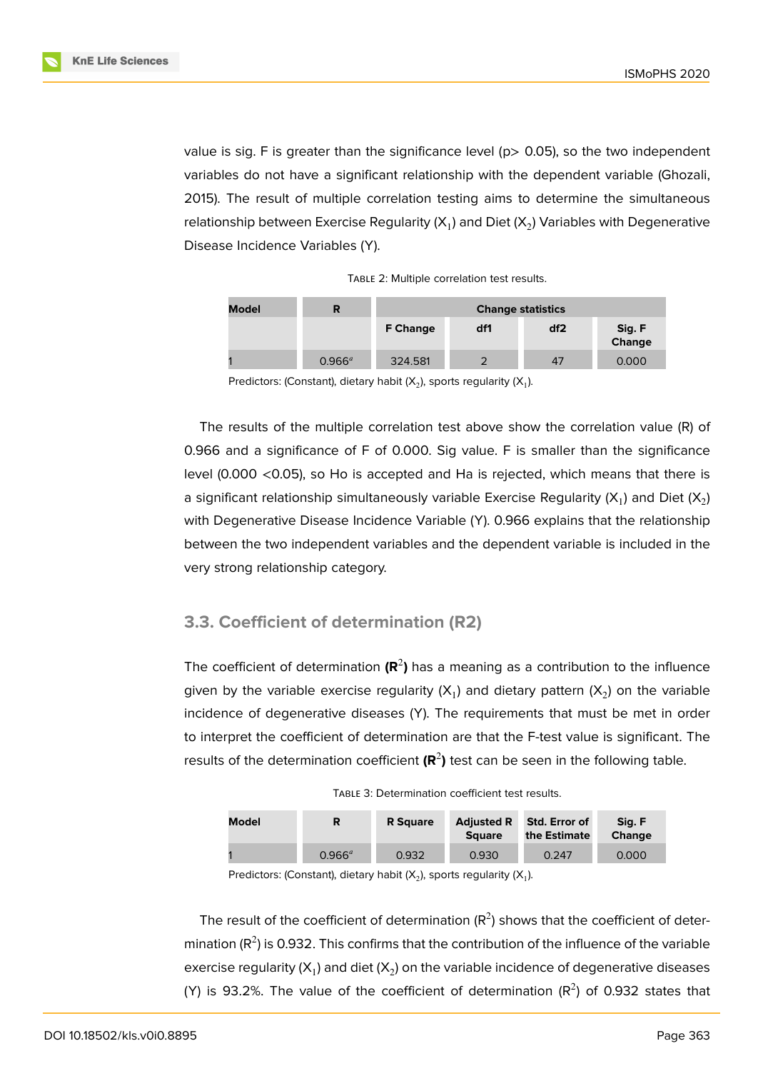

value is sig. F is greater than the significance level ( $p$  > 0.05), so the two independent variables do not have a significant relationship with the dependent variable (Ghozali, 2015). The result of multiple correlation testing aims to determine the simultaneous relationship between Exercise Regularity (X<sub>1</sub>) and Diet (X<sub>2</sub>) Variables with Degenerative Disease Incidence Variables (Y).

| <b>Model</b> | R         | <b>Change statistics</b> |     |     |                  |  |
|--------------|-----------|--------------------------|-----|-----|------------------|--|
|              |           | <b>F Change</b>          | df1 | df2 | Sig. F<br>Change |  |
|              | $0.966^a$ | 324.581                  | າ   | 47  | 0.000            |  |

Predictors: (Constant), dietary habit (X<sub>2</sub>), sports regularity (X<sub>1</sub>).

The results of the multiple correlation test above show the correlation value (R) of 0.966 and a significance of F of 0.000. Sig value. F is smaller than the significance level (0.000 <0.05), so Ho is accepted and Ha is rejected, which means that there is a significant relationship simultaneously variable Exercise Regularity (X<sub>1</sub>) and Diet (X<sub>2</sub>) with Degenerative Disease Incidence Variable (Y). 0.966 explains that the relationship between the two independent variables and the dependent variable is included in the very strong relationship category.

### **3.3. Coefficient of determination (R2)**

The coefficient of determination (R<sup>2</sup>) has a meaning as a contribution to the influence given by the variable exercise regularity (X<sub>1</sub>) and dietary pattern (X<sub>2</sub>) on the variable incidence of degenerative diseases (Y). The requirements that must be met in order to interpret the coefficient of determination are that the F-test value is significant. The results of the determination coefficient (R<sup>2</sup>) test can be seen in the following table.

TABLE 3: Determination coefficient test results.

| Model | R               | <b>R</b> Square | <b>Adjusted R</b><br><b>Square</b> | Std. Error of<br>the Estimate | Sia. F<br><b>Change</b> |
|-------|-----------------|-----------------|------------------------------------|-------------------------------|-------------------------|
|       | $0.966^{\circ}$ | 0.932           | 0.930                              | 0.247                         | 0.000                   |

Predictors: (Constant), dietary habit (X<sub>2</sub>), sports regularity (X<sub>1</sub>).

The result of the coefficient of determination  $(R^2)$  shows that the coefficient of determination (R<sup>2</sup>) is 0.932. This confirms that the contribution of the influence of the variable exercise regularity (X<sub>1</sub>) and diet (X<sub>2</sub>) on the variable incidence of degenerative diseases (Y) is 93.2%. The value of the coefficient of determination ( $R^2$ ) of 0.932 states that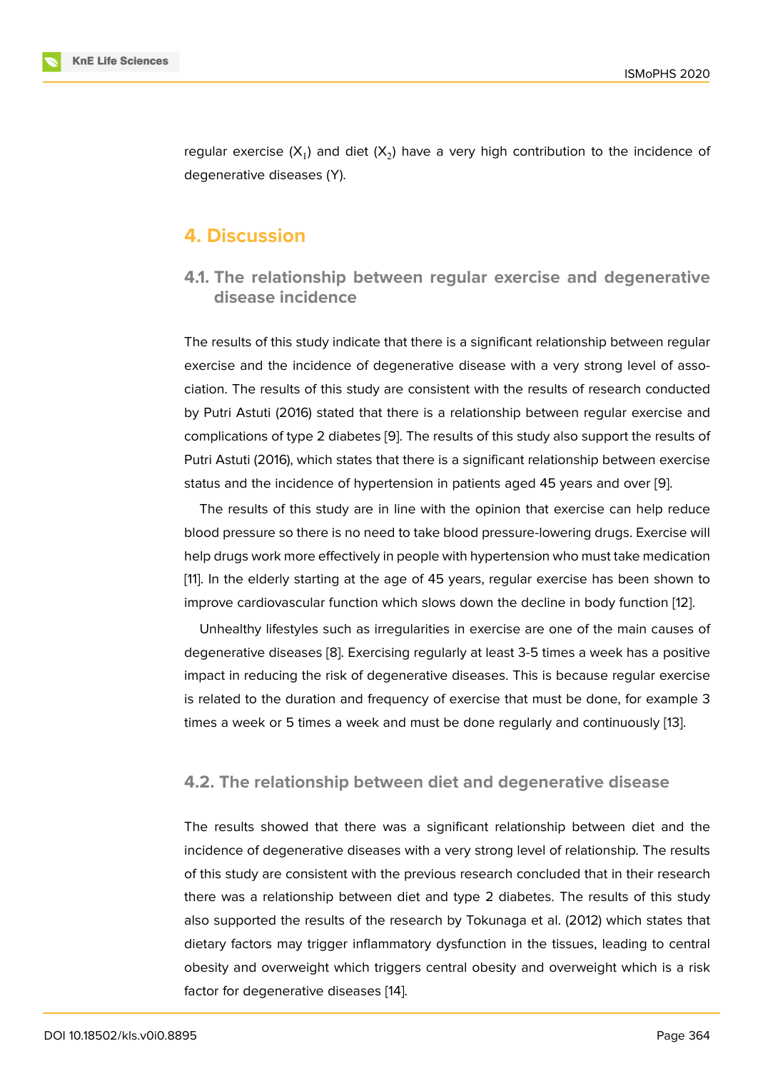regular exercise (X<sub>1</sub>) and diet (X<sub>2</sub>) have a very high contribution to the incidence of degenerative diseases (Y).

### **4. Discussion**

**4.1. The relationship between regular exercise and degenerative disease incidence**

The results of this study indicate that there is a significant relationship between regular exercise and the incidence of degenerative disease with a very strong level of association. The results of this study are consistent with the results of research conducted by Putri Astuti (2016) stated that there is a relationship between regular exercise and complications of type 2 diabetes [9]. The results of this study also support the results of Putri Astuti (2016), which states that there is a significant relationship between exercise status and the incidence of hypertension in patients aged 45 years and over [9].

The results of this study are i[n l](#page-8-4)ine with the opinion that exercise can help reduce blood pressure so there is no need to take blood pressure-lowering drugs. Exercise will help drugs work more effectively in people with hypertension who must take m[ed](#page-8-4)ication [11]. In the elderly starting at the age of 45 years, regular exercise has been shown to improve cardiovascular function which slows down the decline in body function [12].

Unhealthy lifestyles such as irregularities in exercise are one of the main causes of [de](#page-8-6)generative diseases [8]. Exercising regularly at least 3-5 times a week has a positive impact in reducing the risk of degenerative diseases. This is because regular ex[erc](#page-8-7)ise is related to the duration and frequency of exercise that must be done, for example 3 times a week or 5 time[s a](#page-8-3) week and must be done regularly and continuously [13].

### **4.2. The relationship between diet and degenerative diseas[e](#page-8-8)**

The results showed that there was a significant relationship between diet and the incidence of degenerative diseases with a very strong level of relationship. The results of this study are consistent with the previous research concluded that in their research there was a relationship between diet and type 2 diabetes. The results of this study also supported the results of the research by Tokunaga et al. (2012) which states that dietary factors may trigger inflammatory dysfunction in the tissues, leading to central obesity and overweight which triggers central obesity and overweight which is a risk factor for degenerative diseases [14].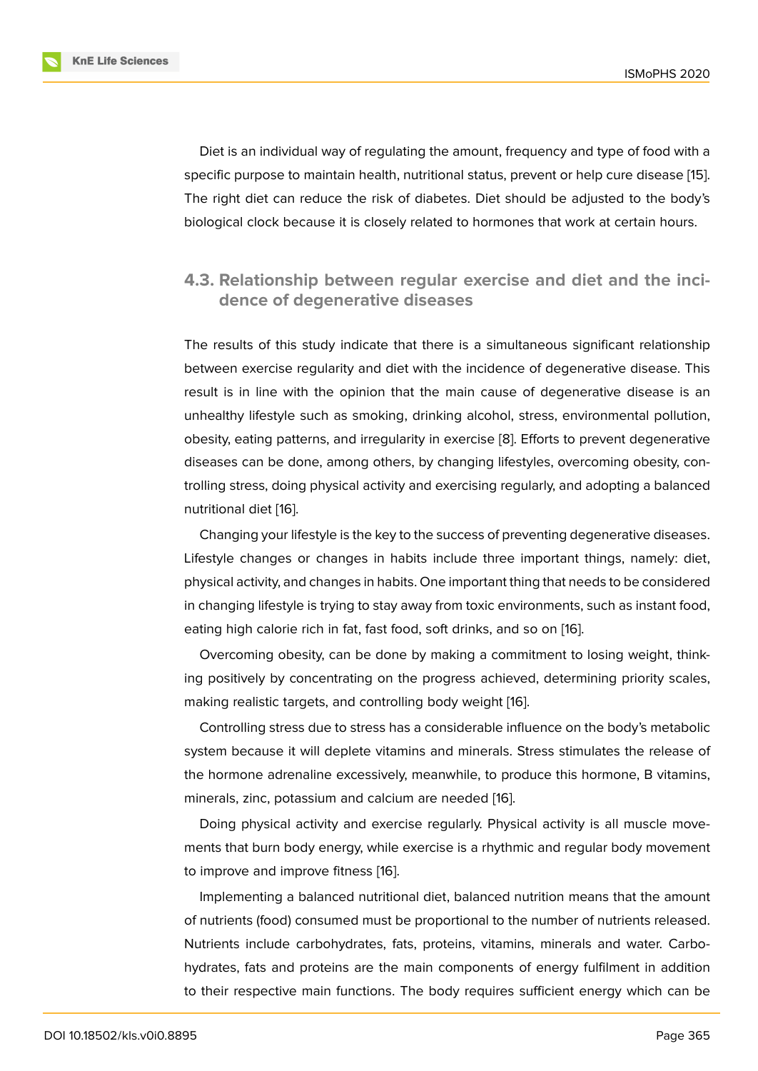Diet is an individual way of regulating the amount, frequency and type of food with a specific purpose to maintain health, nutritional status, prevent or help cure disease [15]. The right diet can reduce the risk of diabetes. Diet should be adjusted to the body's biological clock because it is closely related to hormones that work at certain hours.

### **4.3. Relationship between regular exercise and diet and the incidence of degenerative diseases**

The results of this study indicate that there is a simultaneous significant relationship between exercise regularity and diet with the incidence of degenerative disease. This result is in line with the opinion that the main cause of degenerative disease is an unhealthy lifestyle such as smoking, drinking alcohol, stress, environmental pollution, obesity, eating patterns, and irregularity in exercise [8]. Efforts to prevent degenerative diseases can be done, among others, by changing lifestyles, overcoming obesity, controlling stress, doing physical activity and exercising regularly, and adopting a balanced nutritional diet [16].

Changing your lifestyle is the key to the success of preventing degenerative diseases. Lifestyle changes or changes in habits include three important things, namely: diet, physical activity[, an](#page-8-9)d changes in habits. One important thing that needs to be considered in changing lifestyle is trying to stay away from toxic environments, such as instant food, eating high calorie rich in fat, fast food, soft drinks, and so on [16].

Overcoming obesity, can be done by making a commitment to losing weight, thinking positively by concentrating on the progress achieved, determining priority scales, making realistic targets, and controlling body weight [16].

Controlling stress due to stress has a considerable influence on the body's metabolic system because it will deplete vitamins and minerals. Stress stimulates the release of the hormone adrenaline excessively, meanwhile, to p[rod](#page-8-9)uce this hormone, B vitamins, minerals, zinc, potassium and calcium are needed [16].

Doing physical activity and exercise regularly. Physical activity is all muscle movements that burn body energy, while exercise is a rhythmic and regular body movement to improve and improve fitness [16].

Implementing a balanced nutritional diet, balanced nutrition means that the amount of nutrients (food) consumed must be proportional to the number of nutrients released. Nutrients include carbohydrate[s, f](#page-8-9)ats, proteins, vitamins, minerals and water. Carbohydrates, fats and proteins are the main components of energy fulfilment in addition to their respective main functions. The body requires sufficient energy which can be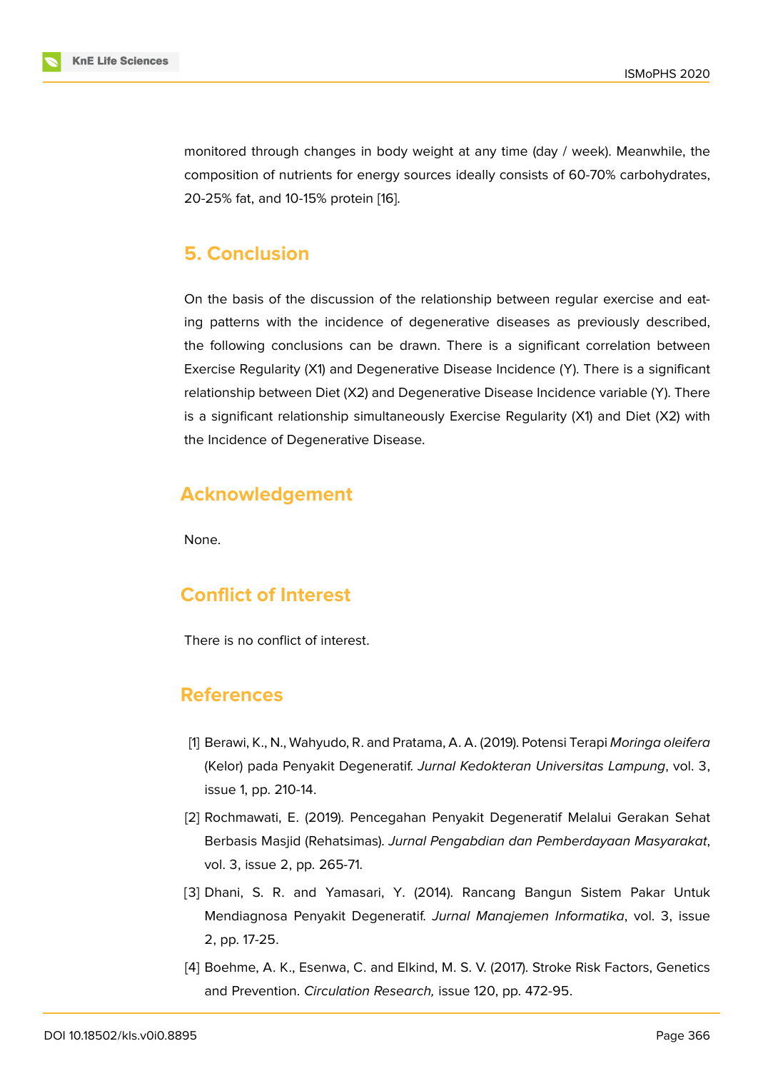monitored through changes in body weight at any time (day / week). Meanwhile, the composition of nutrients for energy sources ideally consists of 60-70% carbohydrates, 20-25% fat, and 10-15% protein [16].

# **5. Conclusion**

On the basis of the discussion of the relationship between regular exercise and eating patterns with the incidence of degenerative diseases as previously described, the following conclusions can be drawn. There is a significant correlation between Exercise Regularity (X1) and Degenerative Disease Incidence (Y). There is a significant relationship between Diet (X2) and Degenerative Disease Incidence variable (Y). There is a significant relationship simultaneously Exercise Regularity (X1) and Diet (X2) with the Incidence of Degenerative Disease.

# **Acknowledgement**

None.

# **Conflict of Interest**

There is no conflict of interest.

### **References**

- [1] Berawi, K., N., Wahyudo, R. and Pratama, A. A. (2019). Potensi Terapi *Moringa oleifera* (Kelor) pada Penyakit Degeneratif. *Jurnal Kedokteran Universitas Lampung*, vol. 3, issue 1, pp. 210-14.
- <span id="page-7-0"></span>[2] Rochmawati, E. (2019). Pencegahan Penyakit Degeneratif Melalui Gerakan Sehat Berbasis Masjid (Rehatsimas). *Jurnal Pengabdian dan Pemberdayaan Masyarakat*, vol. 3, issue 2, pp. 265-71.
- [3] Dhani, S. R. and Yamasari, Y. (2014). Rancang Bangun Sistem Pakar Untuk Mendiagnosa Penyakit Degeneratif. *Jurnal Manajemen Informatika*, vol. 3, issue 2, pp. 17-25.
- <span id="page-7-2"></span><span id="page-7-1"></span>[4] Boehme, A. K., Esenwa, C. and Elkind, M. S. V. (2017). Stroke Risk Factors, Genetics and Prevention. *Circulation Research,* issue 120, pp. 472-95.